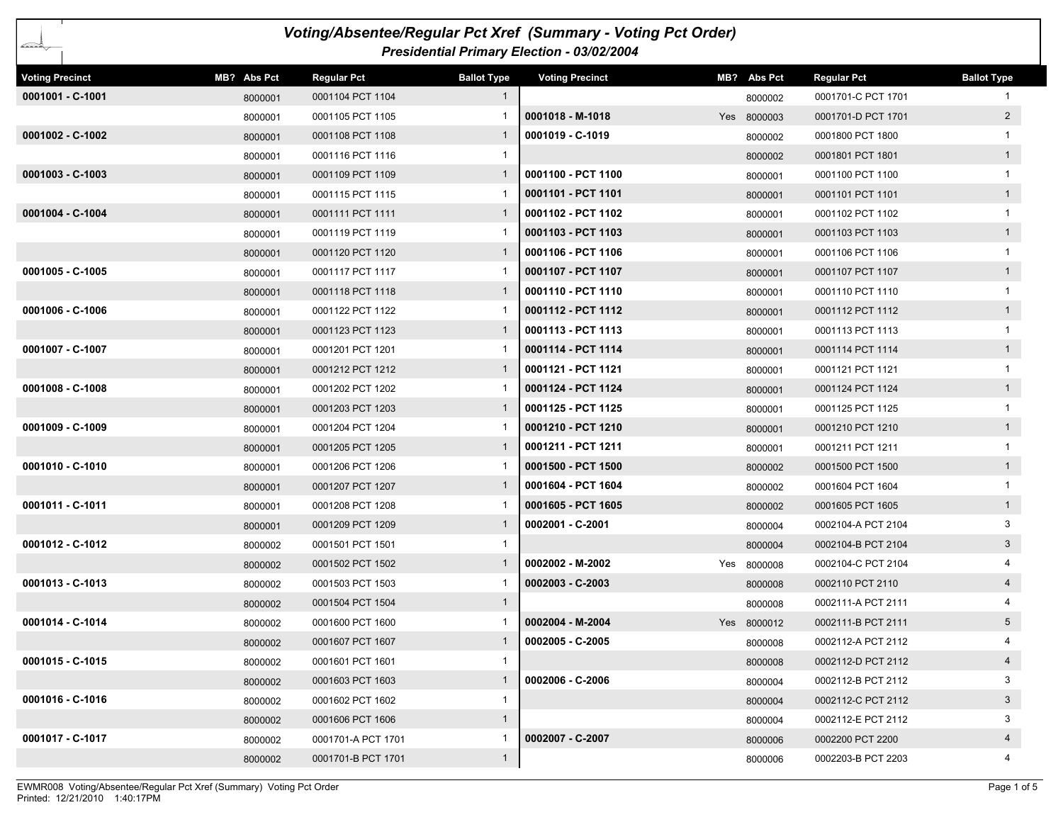| Voting/Absentee/Regular Pct Xref (Summary - Voting Pct Order)<br>baran Sarajara, Sarajara, Sarajara, Sarajara, Sarajara, Sarajara, Sarajara, Sarajara, Sarajara, Sa |             |                    |                    |                                            |  |             |                    |                    |  |
|---------------------------------------------------------------------------------------------------------------------------------------------------------------------|-------------|--------------------|--------------------|--------------------------------------------|--|-------------|--------------------|--------------------|--|
|                                                                                                                                                                     |             |                    |                    | Presidential Primary Election - 03/02/2004 |  |             |                    |                    |  |
| <b>Voting Precinct</b>                                                                                                                                              | MB? Abs Pct | <b>Regular Pct</b> | <b>Ballot Type</b> | <b>Voting Precinct</b>                     |  | MB? Abs Pct | <b>Regular Pct</b> | <b>Ballot Type</b> |  |
| 0001001 - C-1001                                                                                                                                                    | 8000001     | 0001104 PCT 1104   | $\mathbf{1}$       |                                            |  | 8000002     | 0001701-C PCT 1701 |                    |  |
|                                                                                                                                                                     | 8000001     | 0001105 PCT 1105   |                    | $0001018 - M-1018$                         |  | Yes 8000003 | 0001701-D PCT 1701 | $2^{\circ}$        |  |
| 0001002 - C-1002                                                                                                                                                    | 8000001     | 0001108 PCT 1108   | $\mathbf{1}$       | 0001019 - C-1019                           |  | 8000002     | 0001800 PCT 1800   |                    |  |
|                                                                                                                                                                     | 8000001     | 0001116 PCT 1116   | 1                  |                                            |  | 8000002     | 0001801 PCT 1801   | 1                  |  |
| $0001003 - C-1003$                                                                                                                                                  | 8000001     | 0001109 PCT 1109   | $\mathbf{1}$       | 0001100 - PCT 1100                         |  | 8000001     | 0001100 PCT 1100   | $\mathbf{1}$       |  |
|                                                                                                                                                                     | 8000001     | 0001115 PCT 1115   |                    | 0001101 - PCT 1101                         |  | 8000001     | 0001101 PCT 1101   | 1                  |  |
| 0001004 - C-1004                                                                                                                                                    | 8000001     | 0001111 PCT 1111   | $\mathbf{1}$       | 0001102 - PCT 1102                         |  | 8000001     | 0001102 PCT 1102   |                    |  |
|                                                                                                                                                                     | 8000001     | 0001119 PCT 1119   |                    | 0001103 - PCT 1103                         |  | 8000001     | 0001103 PCT 1103   | 1                  |  |
|                                                                                                                                                                     | 8000001     | 0001120 PCT 1120   | $\mathbf{1}$       | 0001106 - PCT 1106                         |  | 8000001     | 0001106 PCT 1106   |                    |  |
| 0001005 - C-1005                                                                                                                                                    | 8000001     | 0001117 PCT 1117   |                    | 0001107 - PCT 1107                         |  | 8000001     | 0001107 PCT 1107   | 1                  |  |
|                                                                                                                                                                     | 8000001     | 0001118 PCT 1118   | $\mathbf{1}$       | 0001110 - PCT 1110                         |  | 8000001     | 0001110 PCT 1110   | $\mathbf{1}$       |  |
| 0001006 - C-1006                                                                                                                                                    | 8000001     | 0001122 PCT 1122   |                    | 0001112 - PCT 1112                         |  | 8000001     | 0001112 PCT 1112   | 1                  |  |
|                                                                                                                                                                     | 8000001     | 0001123 PCT 1123   | $\mathbf{1}$       | 0001113 - PCT 1113                         |  | 8000001     | 0001113 PCT 1113   |                    |  |
| 0001007 - C-1007                                                                                                                                                    | 8000001     | 0001201 PCT 1201   |                    | 0001114 - PCT 1114                         |  | 8000001     | 0001114 PCT 1114   | 1                  |  |
|                                                                                                                                                                     | 8000001     | 0001212 PCT 1212   | $\mathbf{1}$       | 0001121 - PCT 1121                         |  | 8000001     | 0001121 PCT 1121   | $\mathbf{1}$       |  |
| $0001008 - C - 1008$                                                                                                                                                | 8000001     | 0001202 PCT 1202   |                    | 0001124 - PCT 1124                         |  | 8000001     | 0001124 PCT 1124   | 1                  |  |
|                                                                                                                                                                     | 8000001     | 0001203 PCT 1203   | $\mathbf{1}$       | 0001125 - PCT 1125                         |  | 8000001     | 0001125 PCT 1125   |                    |  |
| 0001009 - C-1009                                                                                                                                                    | 8000001     | 0001204 PCT 1204   |                    | 0001210 - PCT 1210                         |  | 8000001     | 0001210 PCT 1210   | 1                  |  |
|                                                                                                                                                                     | 8000001     | 0001205 PCT 1205   | $\mathbf{1}$       | 0001211 - PCT 1211                         |  | 8000001     | 0001211 PCT 1211   |                    |  |
| 0001010 - C-1010                                                                                                                                                    | 8000001     | 0001206 PCT 1206   |                    | 0001500 - PCT 1500                         |  | 8000002     | 0001500 PCT 1500   | 1                  |  |
|                                                                                                                                                                     | 8000001     | 0001207 PCT 1207   | $\mathbf{1}$       | 0001604 - PCT 1604                         |  | 8000002     | 0001604 PCT 1604   |                    |  |
| 0001011 - C-1011                                                                                                                                                    | 8000001     | 0001208 PCT 1208   |                    | 0001605 - PCT 1605                         |  | 8000002     | 0001605 PCT 1605   | 1                  |  |
|                                                                                                                                                                     | 8000001     | 0001209 PCT 1209   | $\mathbf{1}$       | 0002001 - C-2001                           |  | 8000004     | 0002104-A PCT 2104 | 3                  |  |
| 0001012 - C-1012                                                                                                                                                    | 8000002     | 0001501 PCT 1501   | 1                  |                                            |  | 8000004     | 0002104-B PCT 2104 | $\mathbf{3}$       |  |
|                                                                                                                                                                     | 8000002     | 0001502 PCT 1502   | $\mathbf{1}$       | 0002002 - M-2002                           |  | Yes 8000008 | 0002104-C PCT 2104 |                    |  |
| 0001013 - C-1013                                                                                                                                                    | 8000002     | 0001503 PCT 1503   |                    | 0002003 - C-2003                           |  | 8000008     | 0002110 PCT 2110   | $\overline{4}$     |  |
|                                                                                                                                                                     | 8000002     | 0001504 PCT 1504   | $\mathbf{1}$       |                                            |  | 8000008     | 0002111-A PCT 2111 |                    |  |
| 0001014 - C-1014                                                                                                                                                    | 8000002     | 0001600 PCT 1600   |                    | 0002004 - M-2004                           |  | Yes 8000012 | 0002111-B PCT 2111 | 5 <sup>5</sup>     |  |
|                                                                                                                                                                     | 8000002     | 0001607 PCT 1607   |                    | 0002005 - C-2005                           |  | 8000008     | 0002112-A PCT 2112 | 4                  |  |
| 0001015 - C-1015                                                                                                                                                    | 8000002     | 0001601 PCT 1601   | $\mathbf{1}$       |                                            |  | 8000008     | 0002112-D PCT 2112 | $\overline{4}$     |  |
|                                                                                                                                                                     | 8000002     | 0001603 PCT 1603   | $\mathbf{1}$       | 0002006 - C-2006                           |  | 8000004     | 0002112-B PCT 2112 | 3                  |  |
| 0001016 - C-1016                                                                                                                                                    | 8000002     | 0001602 PCT 1602   | $\mathbf{1}$       |                                            |  | 8000004     | 0002112-C PCT 2112 | $3\phantom{.0}$    |  |
|                                                                                                                                                                     | 8000002     | 0001606 PCT 1606   | $\mathbf{1}$       |                                            |  | 8000004     | 0002112-E PCT 2112 | 3                  |  |
| 0001017 - C-1017                                                                                                                                                    | 8000002     | 0001701-A PCT 1701 | -1                 | 0002007 - C-2007                           |  | 8000006     | 0002200 PCT 2200   | $\overline{4}$     |  |
|                                                                                                                                                                     | 8000002     | 0001701-B PCT 1701 | $\mathbf{1}$       |                                            |  | 8000006     | 0002203-B PCT 2203 | 4                  |  |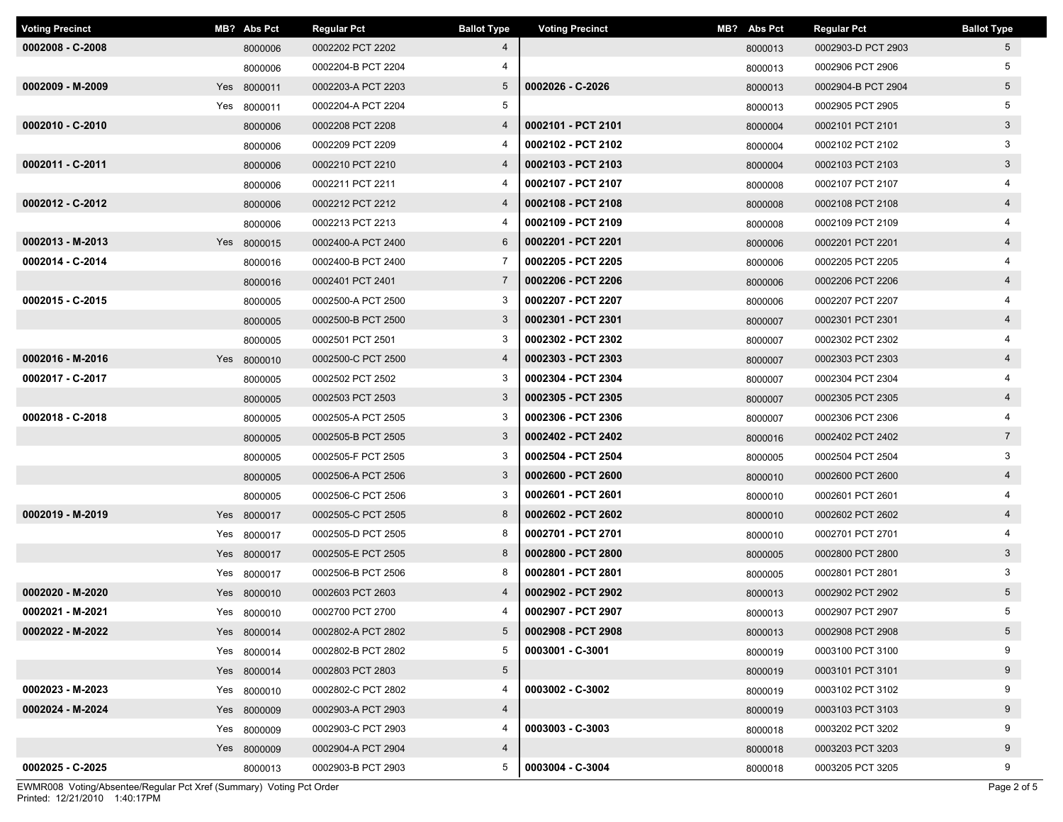| <b>Voting Precinct</b> | MB? Abs Pct | <b>Regular Pct</b> | <b>Ballot Type</b> | <b>Voting Precinct</b> | MB? Abs Pct | <b>Regular Pct</b> | <b>Ballot Type</b> |
|------------------------|-------------|--------------------|--------------------|------------------------|-------------|--------------------|--------------------|
| $0002008 - C - 2008$   | 8000006     | 0002202 PCT 2202   | 4                  |                        | 8000013     | 0002903-D PCT 2903 | $5^{\circ}$        |
|                        | 8000006     | 0002204-B PCT 2204 |                    |                        | 8000013     | 0002906 PCT 2906   | 5                  |
| 0002009 - M-2009       | Yes 8000011 | 0002203-A PCT 2203 | $5\overline{)}$    | 0002026 - C-2026       | 8000013     | 0002904-B PCT 2904 | $5\overline{)}$    |
|                        | Yes 8000011 | 0002204-A PCT 2204 | 5                  |                        | 8000013     | 0002905 PCT 2905   | 5                  |
| 0002010 - C-2010       | 8000006     | 0002208 PCT 2208   | 4                  | 0002101 - PCT 2101     | 8000004     | 0002101 PCT 2101   | $\mathbf{3}$       |
|                        | 8000006     | 0002209 PCT 2209   | 4                  | 0002102 - PCT 2102     | 8000004     | 0002102 PCT 2102   | 3                  |
| 0002011 - C-2011       | 8000006     | 0002210 PCT 2210   | 4                  | 0002103 - PCT 2103     | 8000004     | 0002103 PCT 2103   | $3\phantom{.0}$    |
|                        | 8000006     | 0002211 PCT 2211   | 4                  | 0002107 - PCT 2107     | 8000008     | 0002107 PCT 2107   |                    |
| 0002012 - C-2012       | 8000006     | 0002212 PCT 2212   | 4                  | 0002108 - PCT 2108     | 8000008     | 0002108 PCT 2108   | $\overline{4}$     |
|                        | 8000006     | 0002213 PCT 2213   | 4                  | 0002109 - PCT 2109     | 8000008     | 0002109 PCT 2109   |                    |
| 0002013 - M-2013       | Yes 8000015 | 0002400-A PCT 2400 | 6                  | 0002201 - PCT 2201     | 8000006     | 0002201 PCT 2201   | $\overline{4}$     |
| 0002014 - C-2014       | 8000016     | 0002400-B PCT 2400 | 7                  | 0002205 - PCT 2205     | 8000006     | 0002205 PCT 2205   | 4                  |
|                        | 8000016     | 0002401 PCT 2401   | $\overline{7}$     | 0002206 - PCT 2206     | 8000006     | 0002206 PCT 2206   | $\overline{4}$     |
| 0002015 - C-2015       | 8000005     | 0002500-A PCT 2500 | 3                  | 0002207 - PCT 2207     | 8000006     | 0002207 PCT 2207   |                    |
|                        | 8000005     | 0002500-B PCT 2500 | $\mathbf{3}$       | 0002301 - PCT 2301     | 8000007     | 0002301 PCT 2301   | $\overline{4}$     |
|                        | 8000005     | 0002501 PCT 2501   | 3                  | 0002302 - PCT 2302     | 8000007     | 0002302 PCT 2302   |                    |
| 0002016 - M-2016       | Yes 8000010 | 0002500-C PCT 2500 | $\overline{4}$     | 0002303 - PCT 2303     | 8000007     | 0002303 PCT 2303   | $\overline{4}$     |
| 0002017 - C-2017       | 8000005     | 0002502 PCT 2502   | 3                  | 0002304 - PCT 2304     | 8000007     | 0002304 PCT 2304   |                    |
|                        | 8000005     | 0002503 PCT 2503   | $\mathbf{3}$       | 0002305 - PCT 2305     | 8000007     | 0002305 PCT 2305   | $\overline{4}$     |
| 0002018 - C-2018       | 8000005     | 0002505-A PCT 2505 | 3                  | 0002306 - PCT 2306     | 8000007     | 0002306 PCT 2306   |                    |
|                        | 8000005     | 0002505-B PCT 2505 | $\mathbf{3}$       | 0002402 - PCT 2402     | 8000016     | 0002402 PCT 2402   | $\overline{7}$     |
|                        | 8000005     | 0002505-F PCT 2505 | 3                  | 0002504 - PCT 2504     | 8000005     | 0002504 PCT 2504   | 3                  |
|                        | 8000005     | 0002506-A PCT 2506 | 3                  | 0002600 - PCT 2600     | 8000010     | 0002600 PCT 2600   | $\overline{4}$     |
|                        | 8000005     | 0002506-C PCT 2506 | 3                  | 0002601 - PCT 2601     | 8000010     | 0002601 PCT 2601   | 4                  |
| 0002019 - M-2019       | Yes 8000017 | 0002505-C PCT 2505 | 8                  | 0002602 - PCT 2602     | 8000010     | 0002602 PCT 2602   | $\overline{4}$     |
|                        | Yes 8000017 | 0002505-D PCT 2505 | 8                  | 0002701 - PCT 2701     | 8000010     | 0002701 PCT 2701   |                    |
|                        | Yes 8000017 | 0002505-E PCT 2505 | 8                  | 0002800 - PCT 2800     | 8000005     | 0002800 PCT 2800   | $\mathbf{3}$       |
|                        | Yes 8000017 | 0002506-B PCT 2506 | 8                  | 0002801 - PCT 2801     | 8000005     | 0002801 PCT 2801   | 3                  |
| 0002020 - M-2020       | Yes 8000010 | 0002603 PCT 2603   | 4                  | 0002902 - PCT 2902     | 8000013     | 0002902 PCT 2902   | 5 <sub>5</sub>     |
| 0002021 - M-2021       | Yes 8000010 | 0002700 PCT 2700   | 4                  | 0002907 - PCT 2907     | 8000013     | 0002907 PCT 2907   | 5                  |
| 0002022 - M-2022       | Yes 8000014 | 0002802-A PCT 2802 | 5                  | 0002908 - PCT 2908     | 8000013     | 0002908 PCT 2908   | 5                  |
|                        | Yes 8000014 | 0002802-B PCT 2802 | 5                  | 0003001 - C-3001       | 8000019     | 0003100 PCT 3100   | 9                  |
|                        | Yes 8000014 | 0002803 PCT 2803   | $5\overline{)}$    |                        | 8000019     | 0003101 PCT 3101   | 9                  |
| 0002023 - M-2023       | Yes 8000010 | 0002802-C PCT 2802 | 4                  | 0003002 - C-3002       | 8000019     | 0003102 PCT 3102   | 9                  |
| 0002024 - M-2024       | Yes 8000009 | 0002903-A PCT 2903 | $\overline{4}$     |                        | 8000019     | 0003103 PCT 3103   | 9                  |
|                        | Yes 8000009 | 0002903-C PCT 2903 | 4                  | 0003003 - C-3003       | 8000018     | 0003202 PCT 3202   | 9                  |
|                        | Yes 8000009 | 0002904-A PCT 2904 | $\overline{4}$     |                        | 8000018     | 0003203 PCT 3203   | 9                  |
| 0002025 - C-2025       | 8000013     | 0002903-B PCT 2903 | 5                  | 0003004 - C-3004       | 8000018     | 0003205 PCT 3205   | 9                  |

Printed: 12/21/2010 1:40:17PM EWMR008 Voting/Absentee/Regular Pct Xref (Summary) Voting Pct Order Page 2 of 5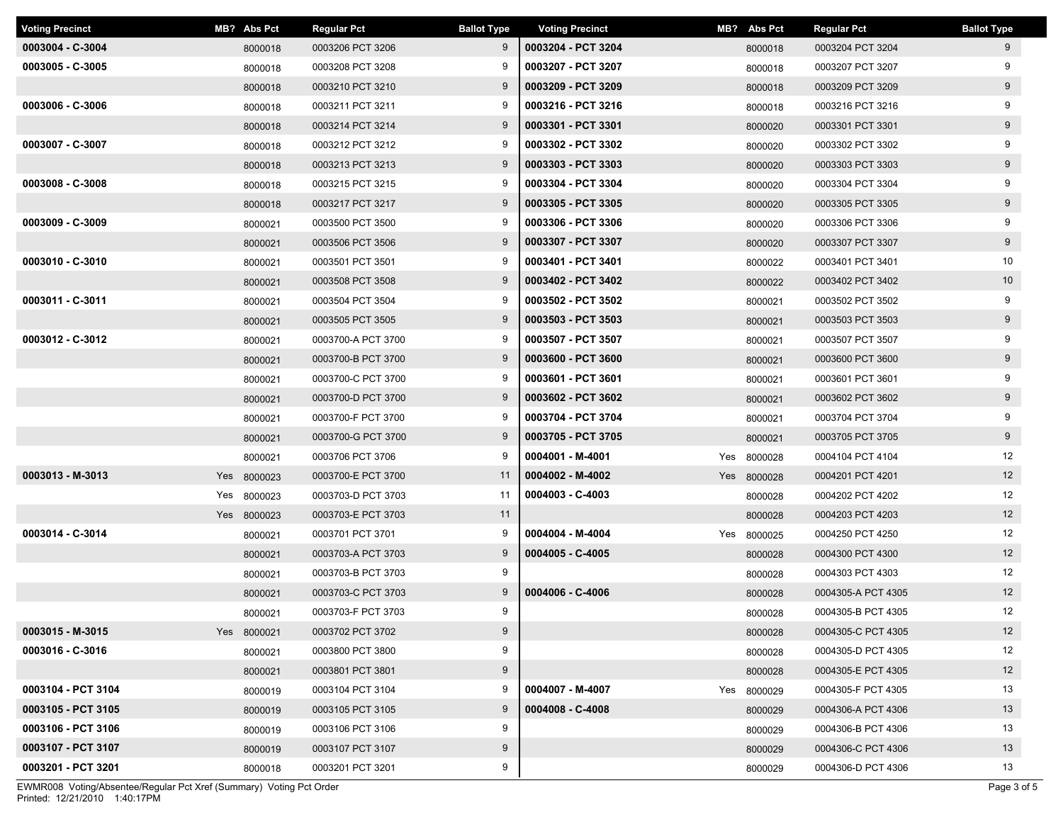| <b>Voting Precinct</b> | MB? Abs Pct | <b>Regular Pct</b> | <b>Ballot Type</b> | <b>Voting Precinct</b> | MB? Abs Pct | <b>Regular Pct</b> | <b>Ballot Type</b> |
|------------------------|-------------|--------------------|--------------------|------------------------|-------------|--------------------|--------------------|
| 0003004 - C-3004       | 8000018     | 0003206 PCT 3206   | 9                  | 0003204 - PCT 3204     | 8000018     | 0003204 PCT 3204   | 9                  |
| 0003005 - C-3005       | 8000018     | 0003208 PCT 3208   | 9                  | 0003207 - PCT 3207     | 8000018     | 0003207 PCT 3207   | 9                  |
|                        | 8000018     | 0003210 PCT 3210   | 9                  | 0003209 - PCT 3209     | 8000018     | 0003209 PCT 3209   | 9                  |
| 0003006 - C-3006       | 8000018     | 0003211 PCT 3211   | 9                  | 0003216 - PCT 3216     | 8000018     | 0003216 PCT 3216   | 9                  |
|                        | 8000018     | 0003214 PCT 3214   | 9                  | 0003301 - PCT 3301     | 8000020     | 0003301 PCT 3301   | 9                  |
| 0003007 - C-3007       | 8000018     | 0003212 PCT 3212   | 9                  | 0003302 - PCT 3302     | 8000020     | 0003302 PCT 3302   | 9                  |
|                        | 8000018     | 0003213 PCT 3213   | 9                  | 0003303 - PCT 3303     | 8000020     | 0003303 PCT 3303   | 9                  |
| 0003008 - C-3008       | 8000018     | 0003215 PCT 3215   | 9                  | 0003304 - PCT 3304     | 8000020     | 0003304 PCT 3304   | 9                  |
|                        | 8000018     | 0003217 PCT 3217   | 9                  | 0003305 - PCT 3305     | 8000020     | 0003305 PCT 3305   | 9                  |
| 0003009 - C-3009       | 8000021     | 0003500 PCT 3500   | 9                  | 0003306 - PCT 3306     | 8000020     | 0003306 PCT 3306   | 9                  |
|                        | 8000021     | 0003506 PCT 3506   | 9                  | 0003307 - PCT 3307     | 8000020     | 0003307 PCT 3307   | 9                  |
| 0003010 - C-3010       | 8000021     | 0003501 PCT 3501   | 9                  | 0003401 - PCT 3401     | 8000022     | 0003401 PCT 3401   | 10                 |
|                        | 8000021     | 0003508 PCT 3508   | 9                  | 0003402 - PCT 3402     | 8000022     | 0003402 PCT 3402   | 10                 |
| 0003011 - C-3011       | 8000021     | 0003504 PCT 3504   | 9                  | 0003502 - PCT 3502     | 8000021     | 0003502 PCT 3502   | 9                  |
|                        | 8000021     | 0003505 PCT 3505   | 9                  | 0003503 - PCT 3503     | 8000021     | 0003503 PCT 3503   | 9                  |
| 0003012 - C-3012       | 8000021     | 0003700-A PCT 3700 | 9                  | 0003507 - PCT 3507     | 8000021     | 0003507 PCT 3507   | 9                  |
|                        | 8000021     | 0003700-B PCT 3700 | 9                  | 0003600 - PCT 3600     | 8000021     | 0003600 PCT 3600   | 9                  |
|                        | 8000021     | 0003700-C PCT 3700 | 9                  | 0003601 - PCT 3601     | 8000021     | 0003601 PCT 3601   | 9                  |
|                        | 8000021     | 0003700-D PCT 3700 | 9                  | 0003602 - PCT 3602     | 8000021     | 0003602 PCT 3602   | 9                  |
|                        | 8000021     | 0003700-F PCT 3700 | 9                  | 0003704 - PCT 3704     | 8000021     | 0003704 PCT 3704   | 9                  |
|                        | 8000021     | 0003700-G PCT 3700 | 9                  | 0003705 - PCT 3705     | 8000021     | 0003705 PCT 3705   | 9                  |
|                        | 8000021     | 0003706 PCT 3706   | 9                  | 0004001 - M-4001       | Yes 8000028 | 0004104 PCT 4104   | 12                 |
| 0003013 - M-3013       | Yes 8000023 | 0003700-E PCT 3700 | 11                 | 0004002 - M-4002       | Yes 8000028 | 0004201 PCT 4201   | 12                 |
|                        | Yes 8000023 | 0003703-D PCT 3703 | 11                 | $0004003 - C - 4003$   | 8000028     | 0004202 PCT 4202   | 12                 |
|                        | Yes 8000023 | 0003703-E PCT 3703 | 11                 |                        | 8000028     | 0004203 PCT 4203   | 12                 |
| 0003014 - C-3014       | 8000021     | 0003701 PCT 3701   | 9                  | 0004004 - M-4004       | Yes 8000025 | 0004250 PCT 4250   | 12                 |
|                        | 8000021     | 0003703-A PCT 3703 | 9                  | 0004005 - C-4005       | 8000028     | 0004300 PCT 4300   | 12                 |
|                        | 8000021     | 0003703-B PCT 3703 | 9                  |                        | 8000028     | 0004303 PCT 4303   | 12                 |
|                        | 8000021     | 0003703-C PCT 3703 | 9                  | 0004006 - C-4006       | 8000028     | 0004305-A PCT 4305 | 12                 |
|                        | 8000021     | 0003703-F PCT 3703 | 9                  |                        | 8000028     | 0004305-B PCT 4305 | 12                 |
| $0003015 - M-3015$     | Yes 8000021 | 0003702 PCT 3702   | 9                  |                        | 8000028     | 0004305-C PCT 4305 | 12                 |
| 0003016 - C-3016       | 8000021     | 0003800 PCT 3800   | 9                  |                        | 8000028     | 0004305-D PCT 4305 | 12                 |
|                        | 8000021     | 0003801 PCT 3801   | 9                  |                        | 8000028     | 0004305-E PCT 4305 | 12                 |
| 0003104 - PCT 3104     | 8000019     | 0003104 PCT 3104   | 9                  | 0004007 - M-4007       | Yes 8000029 | 0004305-F PCT 4305 | 13                 |
| 0003105 - PCT 3105     | 8000019     | 0003105 PCT 3105   | 9                  | 0004008 - C-4008       | 8000029     | 0004306-A PCT 4306 | 13                 |
| 0003106 - PCT 3106     | 8000019     | 0003106 PCT 3106   | 9                  |                        | 8000029     | 0004306-B PCT 4306 | 13                 |
| 0003107 - PCT 3107     | 8000019     | 0003107 PCT 3107   | 9                  |                        | 8000029     | 0004306-C PCT 4306 | 13                 |
| 0003201 - PCT 3201     | 8000018     | 0003201 PCT 3201   | 9                  |                        | 8000029     | 0004306-D PCT 4306 | 13                 |

Printed: 12/21/2010 1:40:17PM EWMR008 Voting/Absentee/Regular Pct Xref (Summary) Voting Pct Order Page 3 of 5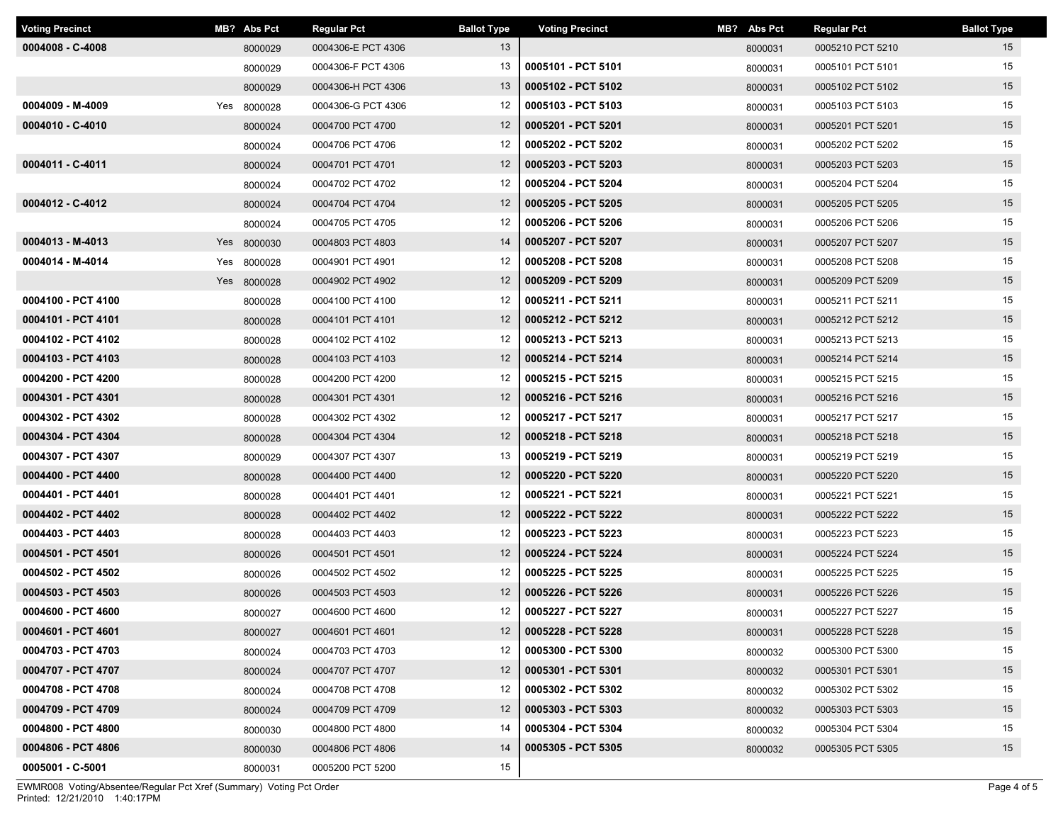| <b>Voting Precinct</b> | MB? Abs Pct | <b>Regular Pct</b> | <b>Ballot Type</b> | <b>Voting Precinct</b> | MB? Abs Pct | <b>Regular Pct</b> | <b>Ballot Type</b> |
|------------------------|-------------|--------------------|--------------------|------------------------|-------------|--------------------|--------------------|
| 0004008 - C-4008       | 8000029     | 0004306-E PCT 4306 | 13                 |                        | 8000031     | 0005210 PCT 5210   | 15                 |
|                        | 8000029     | 0004306-F PCT 4306 | 13                 | 0005101 - PCT 5101     | 8000031     | 0005101 PCT 5101   | 15                 |
|                        | 8000029     | 0004306-H PCT 4306 | 13                 | 0005102 - PCT 5102     | 8000031     | 0005102 PCT 5102   | 15                 |
| 0004009 - M-4009       | Yes 8000028 | 0004306-G PCT 4306 | 12                 | 0005103 - PCT 5103     | 8000031     | 0005103 PCT 5103   | 15                 |
| 0004010 - C-4010       | 8000024     | 0004700 PCT 4700   | 12                 | 0005201 - PCT 5201     | 8000031     | 0005201 PCT 5201   | 15                 |
|                        | 8000024     | 0004706 PCT 4706   | 12                 | 0005202 - PCT 5202     | 8000031     | 0005202 PCT 5202   | 15                 |
| 0004011 - C-4011       | 8000024     | 0004701 PCT 4701   | 12                 | 0005203 - PCT 5203     | 8000031     | 0005203 PCT 5203   | 15                 |
|                        | 8000024     | 0004702 PCT 4702   | 12                 | 0005204 - PCT 5204     | 8000031     | 0005204 PCT 5204   | 15                 |
| 0004012 - C-4012       | 8000024     | 0004704 PCT 4704   | 12                 | 0005205 - PCT 5205     | 8000031     | 0005205 PCT 5205   | 15                 |
|                        | 8000024     | 0004705 PCT 4705   | 12                 | 0005206 - PCT 5206     | 8000031     | 0005206 PCT 5206   | 15                 |
| 0004013 - M-4013       | Yes 8000030 | 0004803 PCT 4803   | 14                 | 0005207 - PCT 5207     | 8000031     | 0005207 PCT 5207   | 15                 |
| 0004014 - M-4014       | Yes 8000028 | 0004901 PCT 4901   | 12                 | 0005208 - PCT 5208     | 8000031     | 0005208 PCT 5208   | 15                 |
|                        | Yes 8000028 | 0004902 PCT 4902   | 12                 | 0005209 - PCT 5209     | 8000031     | 0005209 PCT 5209   | 15                 |
| 0004100 - PCT 4100     | 8000028     | 0004100 PCT 4100   | 12                 | 0005211 - PCT 5211     | 8000031     | 0005211 PCT 5211   | 15                 |
| 0004101 - PCT 4101     | 8000028     | 0004101 PCT 4101   | 12                 | 0005212 - PCT 5212     | 8000031     | 0005212 PCT 5212   | 15                 |
| 0004102 - PCT 4102     | 8000028     | 0004102 PCT 4102   | 12                 | 0005213 - PCT 5213     | 8000031     | 0005213 PCT 5213   | 15                 |
| 0004103 - PCT 4103     | 8000028     | 0004103 PCT 4103   | 12                 | 0005214 - PCT 5214     | 8000031     | 0005214 PCT 5214   | 15                 |
| 0004200 - PCT 4200     | 8000028     | 0004200 PCT 4200   | 12                 | 0005215 - PCT 5215     | 8000031     | 0005215 PCT 5215   | 15                 |
| 0004301 - PCT 4301     | 8000028     | 0004301 PCT 4301   | 12                 | 0005216 - PCT 5216     | 8000031     | 0005216 PCT 5216   | 15                 |
| 0004302 - PCT 4302     | 8000028     | 0004302 PCT 4302   | 12                 | 0005217 - PCT 5217     | 8000031     | 0005217 PCT 5217   | 15                 |
| 0004304 - PCT 4304     | 8000028     | 0004304 PCT 4304   | 12                 | 0005218 - PCT 5218     | 8000031     | 0005218 PCT 5218   | 15                 |
| 0004307 - PCT 4307     | 8000029     | 0004307 PCT 4307   | 13                 | 0005219 - PCT 5219     | 8000031     | 0005219 PCT 5219   | 15                 |
| 0004400 - PCT 4400     | 8000028     | 0004400 PCT 4400   | 12                 | 0005220 - PCT 5220     | 8000031     | 0005220 PCT 5220   | 15                 |
| 0004401 - PCT 4401     | 8000028     | 0004401 PCT 4401   | 12                 | 0005221 - PCT 5221     | 8000031     | 0005221 PCT 5221   | 15                 |
| 0004402 - PCT 4402     | 8000028     | 0004402 PCT 4402   | 12                 | 0005222 - PCT 5222     | 8000031     | 0005222 PCT 5222   | 15                 |
| 0004403 - PCT 4403     | 8000028     | 0004403 PCT 4403   | 12                 | 0005223 - PCT 5223     | 8000031     | 0005223 PCT 5223   | 15                 |
| 0004501 - PCT 4501     | 8000026     | 0004501 PCT 4501   | 12                 | 0005224 - PCT 5224     | 8000031     | 0005224 PCT 5224   | 15                 |
| 0004502 - PCT 4502     | 8000026     | 0004502 PCT 4502   | 12                 | 0005225 - PCT 5225     | 8000031     | 0005225 PCT 5225   | 15                 |
| 0004503 - PCT 4503     | 8000026     | 0004503 PCT 4503   | 12                 | 0005226 - PCT 5226     | 8000031     | 0005226 PCT 5226   | 15                 |
| 0004600 - PCT 4600     | 8000027     | 0004600 PCT 4600   | 12                 | 0005227 - PCT 5227     | 8000031     | 0005227 PCT 5227   | 15                 |
| 0004601 - PCT 4601     | 8000027     | 0004601 PCT 4601   | 12                 | 0005228 - PCT 5228     | 8000031     | 0005228 PCT 5228   | 15                 |
| 0004703 - PCT 4703     | 8000024     | 0004703 PCT 4703   | 12                 | 0005300 - PCT 5300     | 8000032     | 0005300 PCT 5300   | 15                 |
| 0004707 - PCT 4707     | 8000024     | 0004707 PCT 4707   | 12                 | 0005301 - PCT 5301     | 8000032     | 0005301 PCT 5301   | 15                 |
| 0004708 - PCT 4708     | 8000024     | 0004708 PCT 4708   | 12                 | 0005302 - PCT 5302     | 8000032     | 0005302 PCT 5302   | 15                 |
| 0004709 - PCT 4709     | 8000024     | 0004709 PCT 4709   | 12                 | 0005303 - PCT 5303     | 8000032     | 0005303 PCT 5303   | 15                 |
| 0004800 - PCT 4800     | 8000030     | 0004800 PCT 4800   | 14                 | 0005304 - PCT 5304     | 8000032     | 0005304 PCT 5304   | 15                 |
| 0004806 - PCT 4806     | 8000030     | 0004806 PCT 4806   | 14                 | 0005305 - PCT 5305     | 8000032     | 0005305 PCT 5305   | 15                 |
| 0005001 - C-5001       | 8000031     | 0005200 PCT 5200   | 15                 |                        |             |                    |                    |